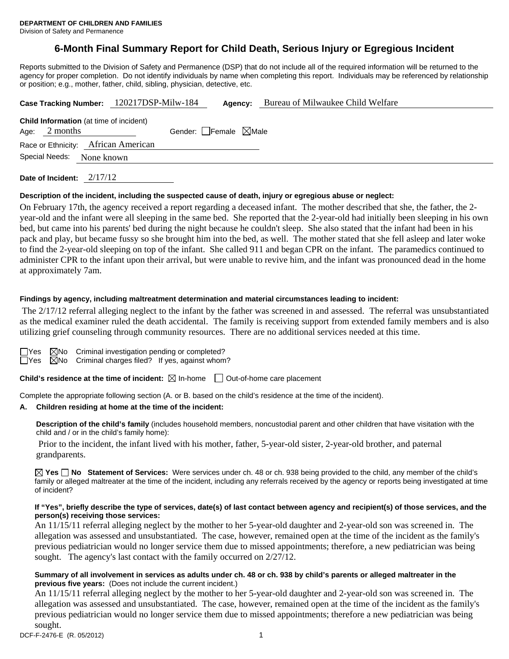## **6-Month Final Summary Report for Child Death, Serious Injury or Egregious Incident**

Reports submitted to the Division of Safety and Permanence (DSP) that do not include all of the required information will be returned to the agency for proper completion. Do not identify individuals by name when completing this report. Individuals may be referenced by relationship or position; e.g., mother, father, child, sibling, physician, detective, etc.

|                | Case Tracking Number: 120217DSP-Milw-184                   | Agency:                         | Bureau of Milwaukee Child Welfare |
|----------------|------------------------------------------------------------|---------------------------------|-----------------------------------|
| Age:           | <b>Child Information</b> (at time of incident)<br>2 months | Gender: Female $\boxtimes$ Male |                                   |
| Special Needs: | Race or Ethnicity: African American<br>None known          |                                 |                                   |
|                |                                                            |                                 |                                   |

**Date of Incident:** 2/17/12

#### **Description of the incident, including the suspected cause of death, injury or egregious abuse or neglect:**

On February 17th, the agency received a report regarding a deceased infant. The mother described that she, the father, the 2 year-old and the infant were all sleeping in the same bed. She reported that the 2-year-old had initially been sleeping in his own bed, but came into his parents' bed during the night because he couldn't sleep. She also stated that the infant had been in his pack and play, but became fussy so she brought him into the bed, as well. The mother stated that she fell asleep and later woke to find the 2-year-old sleeping on top of the infant. She called 911 and began CPR on the infant. The paramedics continued to administer CPR to the infant upon their arrival, but were unable to revive him, and the infant was pronounced dead in the home at approximately 7am.

#### **Findings by agency, including maltreatment determination and material circumstances leading to incident:**

 The 2/17/12 referral alleging neglect to the infant by the father was screened in and assessed. The referral was unsubstantiated as the medical examiner ruled the death accidental. The family is receiving support from extended family members and is also utilizing grief counseling through community resources. There are no additional services needed at this time.

|  | $\Box$ Yes $\boxtimes$ No Criminal investigation pending or completed? |  |
|--|------------------------------------------------------------------------|--|
|  | $\Box$ Yes $\Box$ No Criminal charges filed? If yes, against whom?     |  |

**Child's residence at the time of incident:**  $\boxtimes$  In-home  $\Box$  Out-of-home care placement

Complete the appropriate following section (A. or B. based on the child's residence at the time of the incident).

#### **A. Children residing at home at the time of the incident:**

**Description of the child's family** (includes household members, noncustodial parent and other children that have visitation with the child and / or in the child's family home):

 Prior to the incident, the infant lived with his mother, father, 5-year-old sister, 2-year-old brother, and paternal grandparents.

**Yes No Statement of Services:** Were services under ch. 48 or ch. 938 being provided to the child, any member of the child's family or alleged maltreater at the time of the incident, including any referrals received by the agency or reports being investigated at time of incident?

#### **If "Yes", briefly describe the type of services, date(s) of last contact between agency and recipient(s) of those services, and the person(s) receiving those services:**

An 11/15/11 referral alleging neglect by the mother to her 5-year-old daughter and 2-year-old son was screened in. The allegation was assessed and unsubstantiated. The case, however, remained open at the time of the incident as the family's previous pediatrician would no longer service them due to missed appointments; therefore, a new pediatrician was being sought. The agency's last contact with the family occurred on 2/27/12.

#### **Summary of all involvement in services as adults under ch. 48 or ch. 938 by child's parents or alleged maltreater in the previous five years:** (Does not include the current incident.)

An 11/15/11 referral alleging neglect by the mother to her 5-year-old daughter and 2-year-old son was screened in. The allegation was assessed and unsubstantiated. The case, however, remained open at the time of the incident as the family's previous pediatrician would no longer service them due to missed appointments; therefore a new pediatrician was being sought.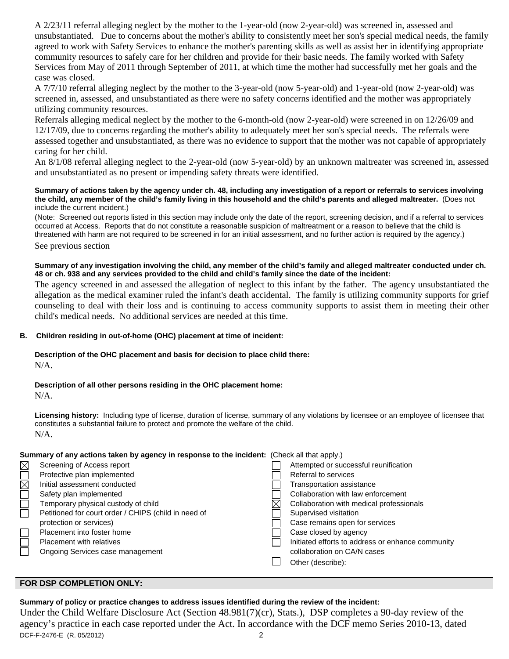A 2/23/11 referral alleging neglect by the mother to the 1-year-old (now 2-year-old) was screened in, assessed and unsubstantiated. Due to concerns about the mother's ability to consistently meet her son's special medical needs, the family agreed to work with Safety Services to enhance the mother's parenting skills as well as assist her in identifying appropriate community resources to safely care for her children and provide for their basic needs. The family worked with Safety Services from May of 2011 through September of 2011, at which time the mother had successfully met her goals and the case was closed.

A 7/7/10 referral alleging neglect by the mother to the 3-year-old (now 5-year-old) and 1-year-old (now 2-year-old) was screened in, assessed, and unsubstantiated as there were no safety concerns identified and the mother was appropriately utilizing community resources.

Referrals alleging medical neglect by the mother to the 6-month-old (now 2-year-old) were screened in on 12/26/09 and 12/17/09, due to concerns regarding the mother's ability to adequately meet her son's special needs. The referrals were assessed together and unsubstantiated, as there was no evidence to support that the mother was not capable of appropriately caring for her child.

An 8/1/08 referral alleging neglect to the 2-year-old (now 5-year-old) by an unknown maltreater was screened in, assessed and unsubstantiated as no present or impending safety threats were identified.

#### **Summary of actions taken by the agency under ch. 48, including any investigation of a report or referrals to services involving the child, any member of the child's family living in this household and the child's parents and alleged maltreater.** (Does not include the current incident.)

(Note: Screened out reports listed in this section may include only the date of the report, screening decision, and if a referral to services occurred at Access. Reports that do not constitute a reasonable suspicion of maltreatment or a reason to believe that the child is threatened with harm are not required to be screened in for an initial assessment, and no further action is required by the agency.)

See previous section

#### **Summary of any investigation involving the child, any member of the child's family and alleged maltreater conducted under ch. 48 or ch. 938 and any services provided to the child and child's family since the date of the incident:**

The agency screened in and assessed the allegation of neglect to this infant by the father. The agency unsubstantiated the allegation as the medical examiner ruled the infant's death accidental. The family is utilizing community supports for grief counseling to deal with their loss and is continuing to access community supports to assist them in meeting their other child's medical needs. No additional services are needed at this time.

#### **B. Children residing in out-of-home (OHC) placement at time of incident:**

# **Description of the OHC placement and basis for decision to place child there:**

 $N/A$ 

## **Description of all other persons residing in the OHC placement home:**

 $N/A$ .

**Licensing history:** Including type of license, duration of license, summary of any violations by licensee or an employee of licensee that constitutes a substantial failure to protect and promote the welfare of the child. N/A.

#### **Summary of any actions taken by agency in response to the incident:** (Check all that apply.)

| $\boxtimes$ | Screening of Access report                           | Attempted or successful reunification             |
|-------------|------------------------------------------------------|---------------------------------------------------|
|             | Protective plan implemented                          | Referral to services                              |
| $\boxtimes$ | Initial assessment conducted                         | Transportation assistance                         |
|             | Safety plan implemented                              | Collaboration with law enforcement                |
| Ē           | Temporary physical custody of child                  | Collaboration with medical professionals          |
|             | Petitioned for court order / CHIPS (child in need of | Supervised visitation                             |
|             | protection or services)                              | Case remains open for services                    |
|             | Placement into foster home                           | Case closed by agency                             |
| $\Box$      | <b>Placement with relatives</b>                      | Initiated efforts to address or enhance community |
|             | Ongoing Services case management                     | collaboration on CA/N cases                       |
|             |                                                      | Other (describe):                                 |
|             |                                                      |                                                   |

## **FOR DSP COMPLETION ONLY:**

DCF-F-2476-E (R. 05/2012) 2 **Summary of policy or practice changes to address issues identified during the review of the incident:**  Under the Child Welfare Disclosure Act (Section 48.981(7)(cr), Stats.), DSP completes a 90-day review of the agency's practice in each case reported under the Act. In accordance with the DCF memo Series 2010-13, dated